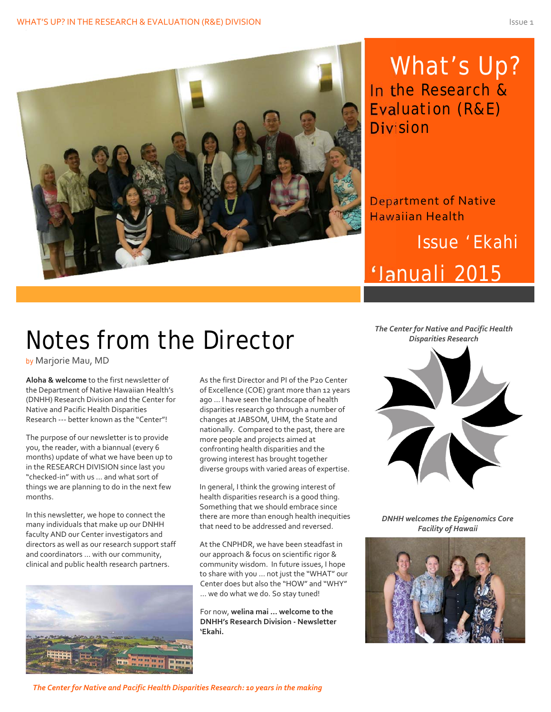

What's Up? In the Research & Evaluation (R&E) Division

Department of Native Hawaiian Health

## Issue 'Ekahi 'Ianuali 2015

# Notes from the Director

by Marjorie Mau, MD

**Aloha & welcome** to the first newsletter of the Department of Native Hawaiian Health's (DNHH) Research Division and the Center for Native and Pacific Health Disparities Research ‐‐‐ better known as the "Center"!

The purpose of our newsletter is to provide you, the reader, with a biannual (every 6 months) update of what we have been up to in the RESEARCH DIVISION since last you "checked‐in" with us ... and what sort of things we are planning to do in the next few months.

In this newsletter, we hope to connect the many individuals that make up our DNHH faculty AND our Center investigators and directors as well as our research support staff and coordinators … with our community, clinical and public health research partners.



As the first Director and PI of the P20 Center of Excellence (COE) grant more than 12 years ago … I have seen the landscape of health disparities research go through a number of changes at JABSOM, UHM, the State and nationally. Compared to the past, there are more people and projects aimed at confronting health disparities and the growing interest has brought together diverse groups with varied areas of expertise.

In general, I think the growing interest of health disparities research is a good thing. Something that we should embrace since there are more than enough health inequities that need to be addressed and reversed.

At the CNPHDR, we have been steadfast in our approach & focus on scientific rigor & community wisdom. In future issues, I hope to share with you … not just the "WHAT" our Center does but also the "HOW" and "WHY" … we do what we do. So stay tuned!

For now, **welina mai … welcome to the DNHH's Research Division ‐ Newsletter 'Ekahi.**



*DNHH welcomes the Epigenomics Core Facility of Hawaii*



*The Center for Native and Pacific Health Disparities Research: 10 years in the making*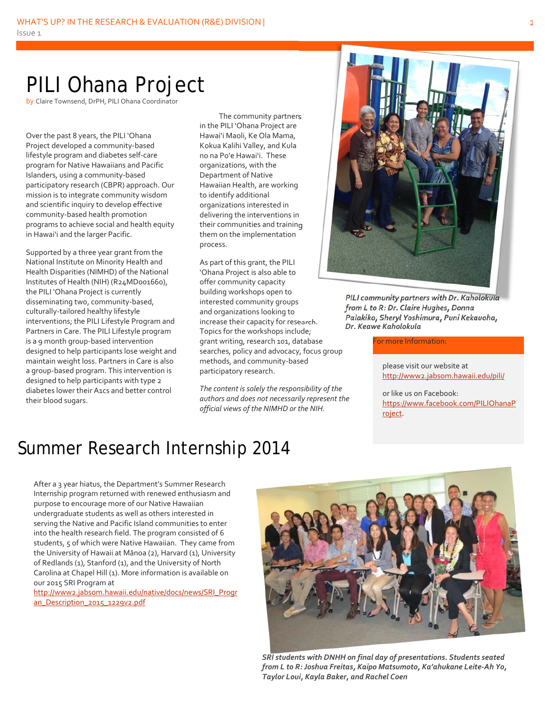### PILI Ohana Project

by Claire Townsend, DrPH, PILI Ohana Coordinator

Over the past 8 years, the PILI 'Ohana Project developed a community‐based lifestyle program and diabetes self‐care program for Native Hawaiians and Pacific Islanders, using a community‐based participatory research (CBPR) approach. Our mission is to integrate community wisdom and scientific inquiry to develop effective community‐based health promotion programs to achieve social and health equity in Hawai'i and the larger Pacific.

Supported by a three year grant from the National Institute on Minority Health and Health Disparities (NIMHD) of the National Institutes of Health (NIH) (R24MD001660), the PILI 'Ohana Project is currently disseminating two, community‐based, culturally‐tailored healthy lifestyle interventions; the PILI Lifestyle Program and Partners in Care. The PILI Lifestyle program is a 9 month group‐based intervention designed to help participants lose weight and maintain weight loss. Partners in Care is also a group‐based program. This intervention is designed to help participants with type 2 diabetes lower their A1cs and better control their blood sugars.

The community partners in the PILI 'Ohana Project are Hawai'i Maoli, Ke Ola Mama, Kokua Kalihi Valley, and Kula no na Po'e Hawai'i. These organizations, with the Department of Native Hawaiian Health, are working to identify additional organizations interested in delivering the interventions in their communities and training them on the implementation process.

As part of this grant, the PILI 'Ohana Project is also able to offer community capacity building workshops open to interested community groups and organizations looking to increase their capacity for research. Topics for the workshops include; grant writing, research 101, database searches, policy and advocacy, focus group methods, and community‐based participatory research.

*The content is solely the responsibility of the authors and does not necessarily represent the official views of the NIMHD or the NIH.*



*PILI community partners with Dr. Kaholokula from L to R: Dr. Claire Hughes, Donna Palakiko, Sheryl Yoshimura, Puni Kekauoha, Dr. Keawe Kaholokula* 

For more Information:

please visit our website at http://www2.jabsom.hawaii.edu/pili/

or like us on Facebook: https://www.facebook.com/PILIOhanaP roject.

#### Summer Research Internship 2014

After a 3 year hiatus, the Department's Summer Research Internship program returned with renewed enthusiasm and purpose to encourage more of our Native Hawaiian undergraduate students as well as others interested in serving the Native and Pacific Island communities to enter into the health research field. The program consisted of 6 students, 5 of which were Native Hawaiian. They came from the University of Hawaii at Mānoa (2), Harvard (1), University of Redlands (1), Stanford (1), and the University of North Carolina at Chapel Hill (1). More information is available on our 2015 SRI Program at

http://www2.jabsom.hawaii.edu/native/docs/news/SRI\_Progr an Description 2015 1229v2.pdf



*SRI students with DNHH on final day of presentations. Students seated from L to R: Joshua Freitas, Kaipo Matsumoto, Ka'ahukane Leite‐Ah Yo, Taylor Loui, Kayla Baker, and Rachel Coen*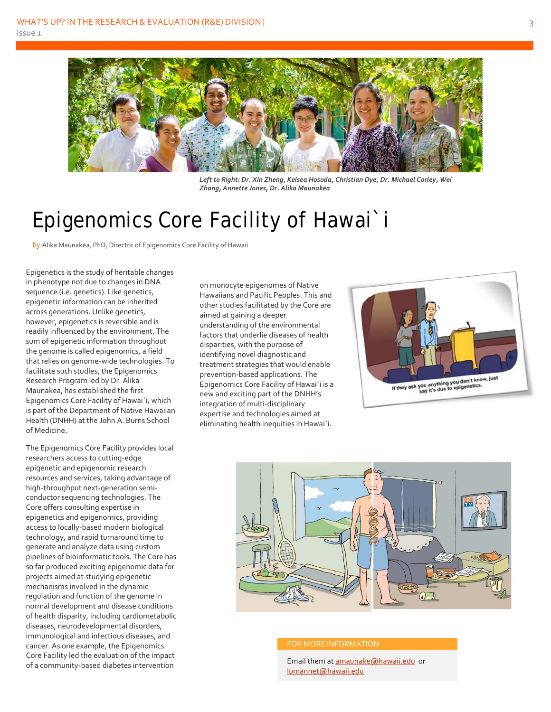

*Left to Right: Dr. Xin Zheng, Kelsea Hosoda, Christian Dye, Dr. Michael Corley, Wei Zhang, Annette Jones, Dr. Alika Maunakea*

### Epigenomics Core Facility of Hawai`i

by Alika Maunakea, PhD, Director of Epigenomics Core Facility of Hawaii

Epigenetics is the study of heritable changes in phenotype not due to changes in DNA sequence (i.e. genetics). Like genetics, epigenetic information can be inherited across generations. Unlike genetics, however, epigenetics is reversible and is readily influenced by the environment. The sum of epigenetic information throughout the genome is called epigenomics, a field that relies on genome‐wide technologies. To facilitate such studies, the Epigenomics Research Program led by Dr. Alika Maunakea, has established the first Epigenomics Core Facility of Hawai`i, which is part of the Department of Native Hawaiian Health (DNHH) at the John A. Burns School of Medicine.

The Epigenomics Core Facility provides local researchers access to cutting‐edge epigenetic and epigenomic research resources and services, taking advantage of high‐throughput next‐generation semi‐ conductor sequencing technologies. The Core offers consulting expertise in epigenetics and epigenomics, providing access to locally‐based modern biological technology, and rapid turnaround time to generate and analyze data using custom pipelines of bioinformatic tools. The Core has so far produced exciting epigenomic data for projects aimed at studying epigenetic mechanisms involved in the dynamic regulation and function of the genome in normal development and disease conditions of health disparity, including cardiometabolic diseases, neurodevelopmental disorders, immunological and infectious diseases, and cancer. As one example, the Epigenomics Core Facility led the evaluation of the impact of a community‐based diabetes intervention

on monocyte epigenomes of Native Hawaiians and Pacific Peoples. This and other studies facilitated by the Core are aimed at gaining a deeper understanding of the environmental factors that underlie diseases of health disparities, with the purpose of identifying novel diagnostic and treatment strategies that would enable prevention‐based applications. The Epigenomics Core Facility of Hawai`i is a new and exciting part of the DNHH's integration of multi‐disciplinary expertise and technologies aimed at eliminating health inequities in Hawai`i.





#### FOR MORE INFORMATION

Email them at amaunake@hawaii.edu or lumannet@hawaii.edu